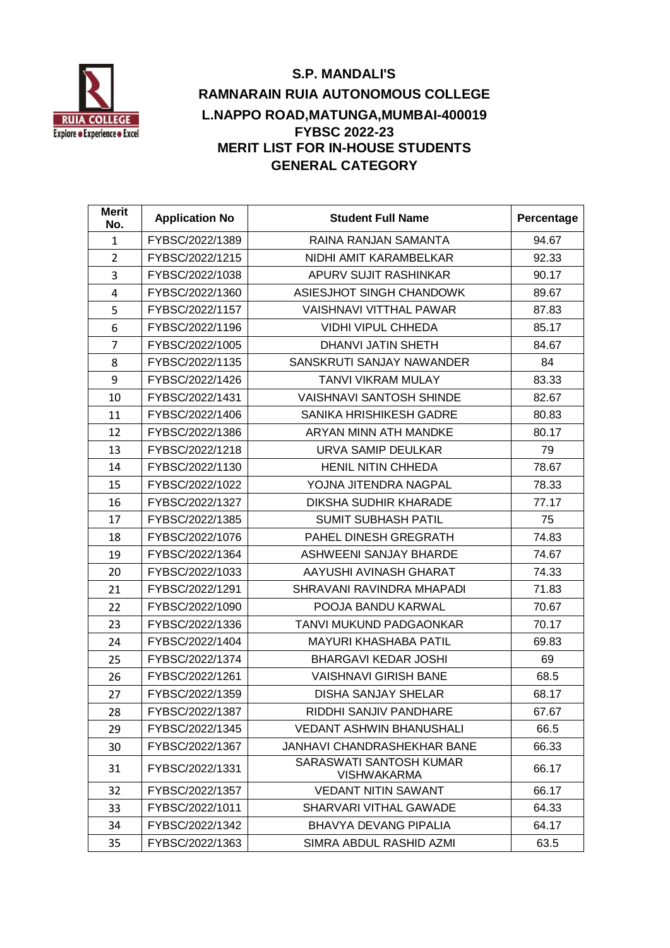

# **S.P. MANDALI'S RAMNARAIN RUIA AUTONOMOUS COLLEGE L.NAPPO ROAD,MATUNGA,MUMBAI-400019 FYBSC 2022-23 MERIT LIST FOR IN-HOUSE STUDENTS GENERAL CATEGORY**

| <b>Merit</b><br>No. | <b>Application No</b> | <b>Student Full Name</b>                      | Percentage |
|---------------------|-----------------------|-----------------------------------------------|------------|
| 1                   | FYBSC/2022/1389       | RAINA RANJAN SAMANTA                          | 94.67      |
| $\overline{2}$      | FYBSC/2022/1215       | NIDHI AMIT KARAMBELKAR                        | 92.33      |
| 3                   | FYBSC/2022/1038       | APURV SUJIT RASHINKAR                         | 90.17      |
| 4                   | FYBSC/2022/1360       | ASIESJHOT SINGH CHANDOWK                      | 89.67      |
| 5                   | FYBSC/2022/1157       | <b>VAISHNAVI VITTHAL PAWAR</b>                | 87.83      |
| 6                   | FYBSC/2022/1196       | <b>VIDHI VIPUL CHHEDA</b>                     | 85.17      |
| $\overline{7}$      | FYBSC/2022/1005       | <b>DHANVI JATIN SHETH</b>                     | 84.67      |
| 8                   | FYBSC/2022/1135       | SANSKRUTI SANJAY NAWANDER                     | 84         |
| 9                   | FYBSC/2022/1426       | <b>TANVI VIKRAM MULAY</b>                     | 83.33      |
| 10                  | FYBSC/2022/1431       | <b>VAISHNAVI SANTOSH SHINDE</b>               | 82.67      |
| 11                  | FYBSC/2022/1406       | <b>SANIKA HRISHIKESH GADRE</b>                | 80.83      |
| 12                  | FYBSC/2022/1386       | ARYAN MINN ATH MANDKE                         | 80.17      |
| 13                  | FYBSC/2022/1218       | URVA SAMIP DEULKAR                            | 79         |
| 14                  | FYBSC/2022/1130       | HENIL NITIN CHHEDA                            | 78.67      |
| 15                  | FYBSC/2022/1022       | YOJNA JITENDRA NAGPAL                         | 78.33      |
| 16                  | FYBSC/2022/1327       | <b>DIKSHA SUDHIR KHARADE</b>                  | 77.17      |
| 17                  | FYBSC/2022/1385       | <b>SUMIT SUBHASH PATIL</b>                    | 75         |
| 18                  | FYBSC/2022/1076       | PAHEL DINESH GREGRATH                         | 74.83      |
| 19                  | FYBSC/2022/1364       | ASHWEENI SANJAY BHARDE                        | 74.67      |
| 20                  | FYBSC/2022/1033       | AAYUSHI AVINASH GHARAT                        | 74.33      |
| 21                  | FYBSC/2022/1291       | SHRAVANI RAVINDRA MHAPADI                     | 71.83      |
| 22                  | FYBSC/2022/1090       | POOJA BANDU KARWAL                            | 70.67      |
| 23                  | FYBSC/2022/1336       | TANVI MUKUND PADGAONKAR                       | 70.17      |
| 24                  | FYBSC/2022/1404       | <b>MAYURI KHASHABA PATIL</b>                  | 69.83      |
| 25                  | FYBSC/2022/1374       | <b>BHARGAVI KEDAR JOSHI</b>                   | 69         |
| 26                  | FYBSC/2022/1261       | <b>VAISHNAVI GIRISH BANE</b>                  | 68.5       |
| 27                  | FYBSC/2022/1359       | <b>DISHA SANJAY SHELAR</b>                    | 68.17      |
| 28                  | FYBSC/2022/1387       | RIDDHI SANJIV PANDHARE                        | 67.67      |
| 29                  | FYBSC/2022/1345       | VEDANT ASHWIN BHANUSHALI                      | 66.5       |
| 30                  | FYBSC/2022/1367       | <b>JANHAVI CHANDRASHEKHAR BANE</b>            | 66.33      |
| 31                  | FYBSC/2022/1331       | SARASWATI SANTOSH KUMAR<br><b>VISHWAKARMA</b> | 66.17      |
| 32                  | FYBSC/2022/1357       | <b>VEDANT NITIN SAWANT</b>                    | 66.17      |
| 33                  | FYBSC/2022/1011       | SHARVARI VITHAL GAWADE                        | 64.33      |
| 34                  | FYBSC/2022/1342       | <b>BHAVYA DEVANG PIPALIA</b>                  | 64.17      |
| 35                  | FYBSC/2022/1363       | SIMRA ABDUL RASHID AZMI                       | 63.5       |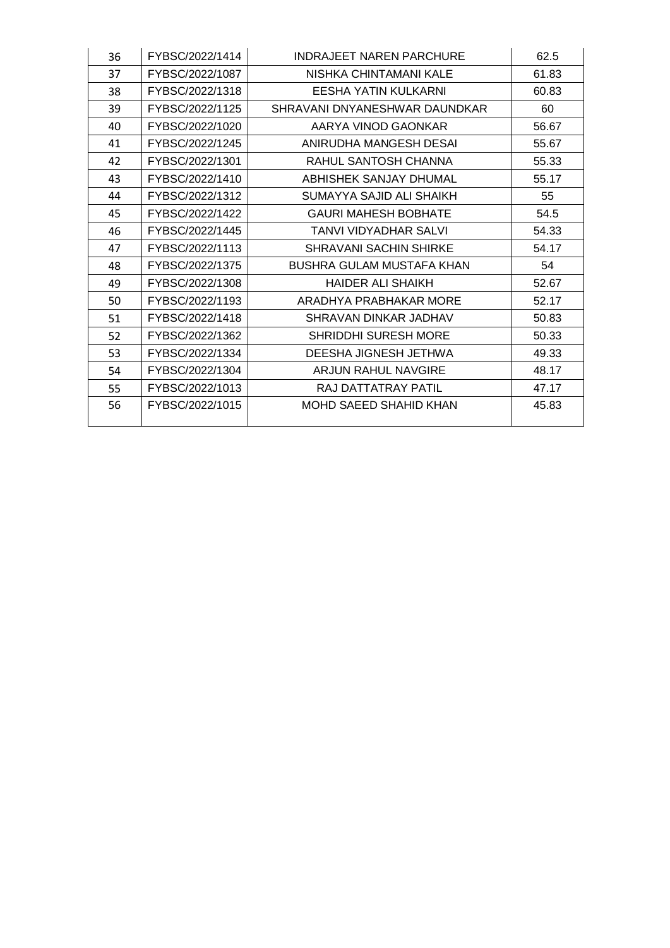| 36 | FYBSC/2022/1414 | <b>INDRAJEET NAREN PARCHURE</b>  | 62.5  |
|----|-----------------|----------------------------------|-------|
| 37 | FYBSC/2022/1087 | NISHKA CHINTAMANI KALE           | 61.83 |
| 38 | FYBSC/2022/1318 | <b>EESHA YATIN KULKARNI</b>      | 60.83 |
| 39 | FYBSC/2022/1125 | SHRAVANI DNYANESHWAR DAUNDKAR    | 60    |
| 40 | FYBSC/2022/1020 | AARYA VINOD GAONKAR              | 56.67 |
| 41 | FYBSC/2022/1245 | ANIRUDHA MANGESH DESAI           | 55.67 |
| 42 | FYBSC/2022/1301 | RAHUL SANTOSH CHANNA             | 55.33 |
| 43 | FYBSC/2022/1410 | ABHISHEK SANJAY DHUMAL           | 55.17 |
| 44 | FYBSC/2022/1312 | SUMAYYA SAJID ALI SHAIKH         | 55    |
| 45 | FYBSC/2022/1422 | <b>GAURI MAHESH BOBHATE</b>      | 54.5  |
| 46 | FYBSC/2022/1445 | <b>TANVI VIDYADHAR SALVI</b>     | 54.33 |
| 47 | FYBSC/2022/1113 | <b>SHRAVANI SACHIN SHIRKE</b>    | 54.17 |
| 48 | FYBSC/2022/1375 | <b>BUSHRA GULAM MUSTAFA KHAN</b> | 54    |
| 49 | FYBSC/2022/1308 | <b>HAIDER ALI SHAIKH</b>         | 52.67 |
| 50 | FYBSC/2022/1193 | ARADHYA PRABHAKAR MORE           | 52.17 |
| 51 | FYBSC/2022/1418 | SHRAVAN DINKAR JADHAV            | 50.83 |
| 52 | FYBSC/2022/1362 | <b>SHRIDDHI SURESH MORE</b>      | 50.33 |
| 53 | FYBSC/2022/1334 | DEESHA JIGNESH JETHWA            | 49.33 |
| 54 | FYBSC/2022/1304 | ARJUN RAHUL NAVGIRE              | 48.17 |
| 55 | FYBSC/2022/1013 | RAJ DATTATRAY PATIL              | 47.17 |
| 56 | FYBSC/2022/1015 | MOHD SAEED SHAHID KHAN           | 45.83 |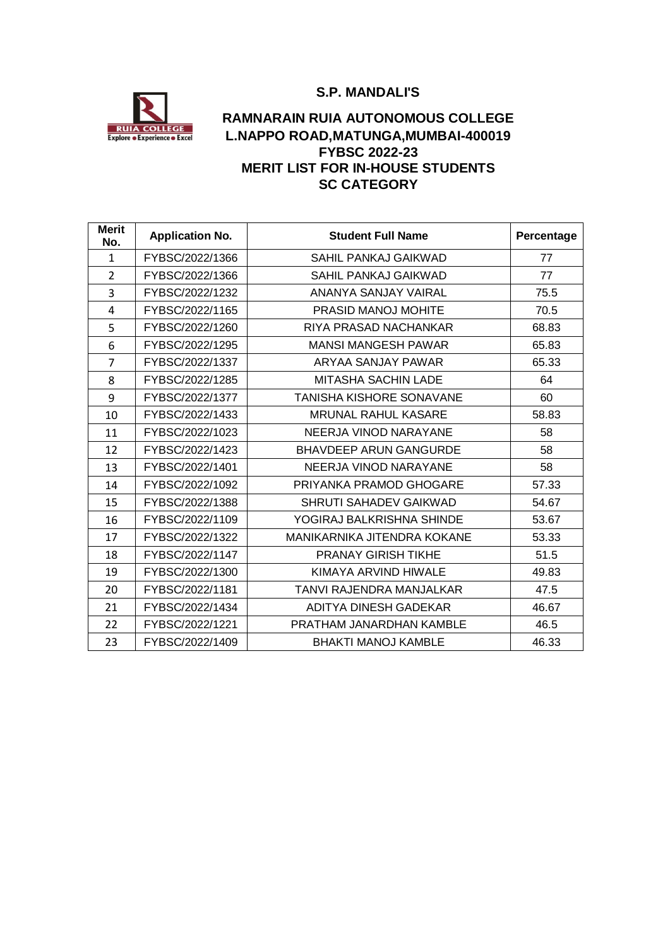#### **S.P. MANDALI'S**



## **RAMNARAIN RUIA AUTONOMOUS COLLEGE L.NAPPO ROAD,MATUNGA,MUMBAI-400019 FYBSC 2022-23 MERIT LIST FOR IN-HOUSE STUDENTS SC CATEGORY**

| <b>Merit</b><br>No. | <b>Application No.</b> | <b>Student Full Name</b>      | Percentage |
|---------------------|------------------------|-------------------------------|------------|
| $\mathbf{1}$        | FYBSC/2022/1366        | SAHIL PANKAJ GAIKWAD          | 77         |
| $\overline{2}$      | FYBSC/2022/1366        | SAHIL PANKAJ GAIKWAD          | 77         |
| 3                   | FYBSC/2022/1232        | ANANYA SANJAY VAIRAL          | 75.5       |
| 4                   | FYBSC/2022/1165        | <b>PRASID MANOJ MOHITE</b>    | 70.5       |
| 5                   | FYBSC/2022/1260        | RIYA PRASAD NACHANKAR         | 68.83      |
| 6                   | FYBSC/2022/1295        | <b>MANSI MANGESH PAWAR</b>    | 65.83      |
| $\overline{7}$      | FYBSC/2022/1337        | ARYAA SANJAY PAWAR            | 65.33      |
| 8                   | FYBSC/2022/1285        | <b>MITASHA SACHIN LADE</b>    | 64         |
| 9                   | FYBSC/2022/1377        | TANISHA KISHORE SONAVANE      | 60         |
| 10                  | FYBSC/2022/1433        | <b>MRUNAL RAHUL KASARE</b>    | 58.83      |
| 11                  | FYBSC/2022/1023        | NEERJA VINOD NARAYANE         | 58         |
| 12                  | FYBSC/2022/1423        | <b>BHAVDEEP ARUN GANGURDE</b> | 58         |
| 13                  | FYBSC/2022/1401        | NEERJA VINOD NARAYANE         | 58         |
| 14                  | FYBSC/2022/1092        | PRIYANKA PRAMOD GHOGARE       | 57.33      |
| 15                  | FYBSC/2022/1388        | SHRUTI SAHADEV GAIKWAD        | 54.67      |
| 16                  | FYBSC/2022/1109        | YOGIRAJ BALKRISHNA SHINDE     | 53.67      |
| 17                  | FYBSC/2022/1322        | MANIKARNIKA JITENDRA KOKANE   | 53.33      |
| 18                  | FYBSC/2022/1147        | <b>PRANAY GIRISH TIKHE</b>    | 51.5       |
| 19                  | FYBSC/2022/1300        | KIMAYA ARVIND HIWALE          | 49.83      |
| 20                  | FYBSC/2022/1181        | TANVI RAJENDRA MANJALKAR      | 47.5       |
| 21                  | FYBSC/2022/1434        | ADITYA DINESH GADEKAR         | 46.67      |
| 22                  | FYBSC/2022/1221        | PRATHAM JANARDHAN KAMBLE      | 46.5       |
| 23                  | FYBSC/2022/1409        | <b>BHAKTI MANOJ KAMBLE</b>    | 46.33      |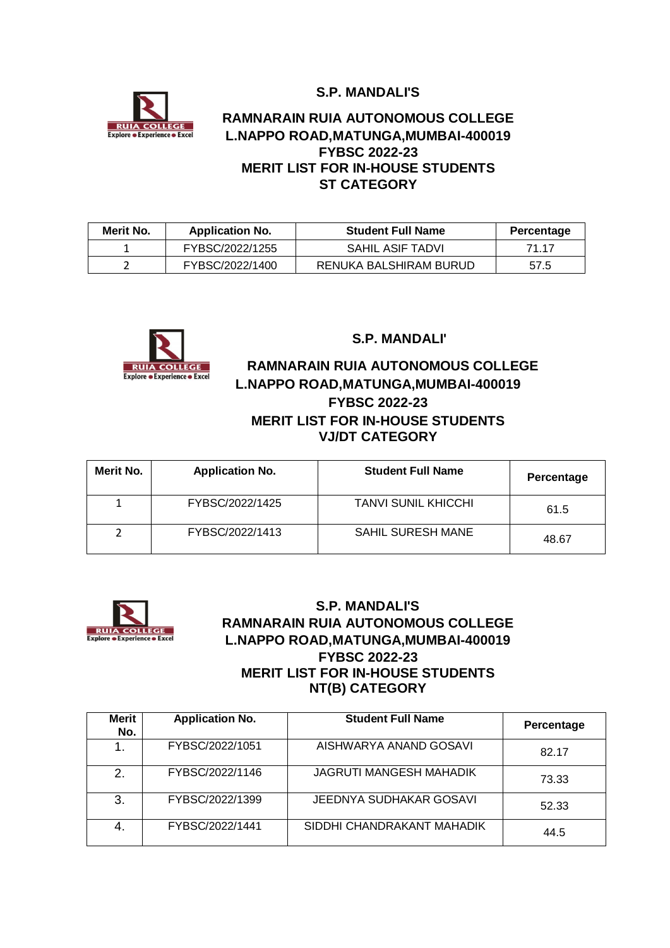**S.P. MANDALI'S**



## **RAMNARAIN RUIA AUTONOMOUS COLLEGE L.NAPPO ROAD,MATUNGA,MUMBAI-400019 FYBSC 2022-23 MERIT LIST FOR IN-HOUSE STUDENTS ST CATEGORY**

| Merit No. | <b>Application No.</b> | <b>Student Full Name</b> | Percentage |
|-----------|------------------------|--------------------------|------------|
|           | FYBSC/2022/1255        | SAHIL ASIF TADVI         | 71 17      |
|           | FYBSC/2022/1400        | RENUKA BALSHIRAM BURUD   | 57.5       |



#### **S.P. MANDALI'**

## **RUIA COLLEGE RAMNARAIN RUIA AUTONOMOUS COLLEGE L.NAPPO ROAD,MATUNGA,MUMBAI-400019 FYBSC 2022-23 MERIT LIST FOR IN-HOUSE STUDENTS VJ/DT CATEGORY**

| Merit No. | <b>Application No.</b> | <b>Student Full Name</b> | Percentage |
|-----------|------------------------|--------------------------|------------|
|           | FYBSC/2022/1425        | TANVI SUNIL KHICCHI      | 61.5       |
|           | FYBSC/2022/1413        | <b>SAHIL SURESH MANE</b> | 48.67      |



#### **S.P. MANDALI'S RAMNARAIN RUIA AUTONOMOUS COLLEGE L.NAPPO ROAD,MATUNGA,MUMBAI-400019 FYBSC 2022-23 MERIT LIST FOR IN-HOUSE STUDENTS NT(B) CATEGORY**

| Merit<br>No. | <b>Application No.</b> | <b>Student Full Name</b>       | Percentage |
|--------------|------------------------|--------------------------------|------------|
|              | FYBSC/2022/1051        | AISHWARYA ANAND GOSAVI         | 82.17      |
| 2.           | FYBSC/2022/1146        | <b>JAGRUTI MANGESH MAHADIK</b> | 73.33      |
| 3.           | FYBSC/2022/1399        | JEEDNYA SUDHAKAR GOSAVI        | 52.33      |
| 4.           | FYBSC/2022/1441        | SIDDHI CHANDRAKANT MAHADIK     | 44.5       |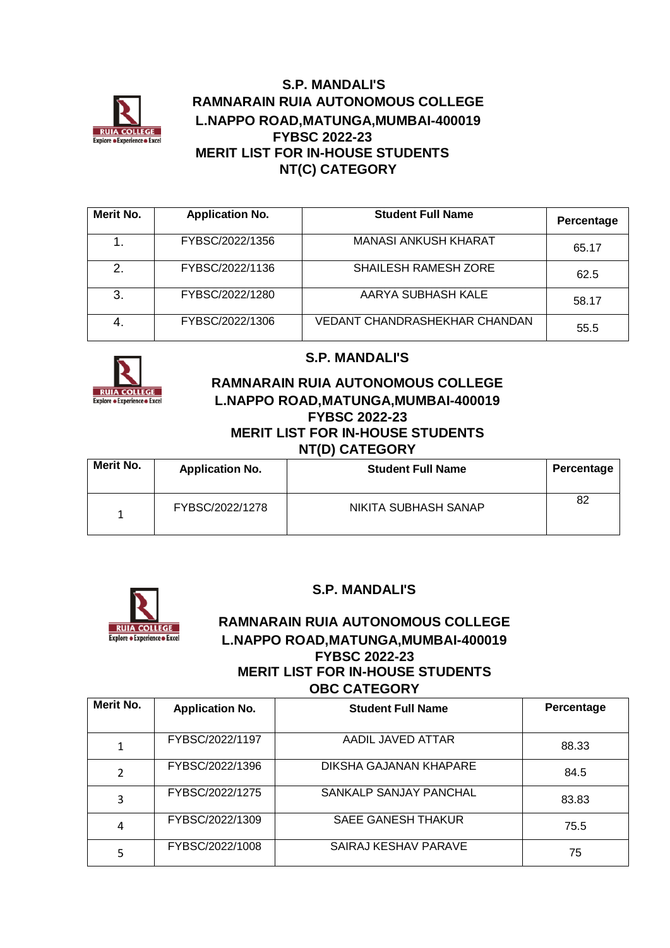

### **S.P. MANDALI'S RAMNARAIN RUIA AUTONOMOUS COLLEGE L.NAPPO ROAD,MATUNGA,MUMBAI-400019 FYBSC 2022-23 MERIT LIST FOR IN-HOUSE STUDENTS NT(C) CATEGORY**

| Merit No. | <b>Application No.</b> | <b>Student Full Name</b>      | Percentage |
|-----------|------------------------|-------------------------------|------------|
|           | FYBSC/2022/1356        | <b>MANASI ANKUSH KHARAT</b>   | 65.17      |
| 2.        | FYBSC/2022/1136        | SHAILESH RAMESH ZORE          | 62.5       |
| 3.        | FYBSC/2022/1280        | AARYA SUBHASH KALE            | 58.17      |
| 4.        | FYBSC/2022/1306        | VEDANT CHANDRASHEKHAR CHANDAN | 55.5       |



## **S.P. MANDALI'S**

#### **RAMNARAIN RUIA AUTONOMOUS COLLEGE L.NAPPO ROAD,MATUNGA,MUMBAI-400019 FYBSC 2022-23 MERIT LIST FOR IN-HOUSE STUDENTS NT(D) CATEGORY**

| Merit No. | <b>Application No.</b> | <b>Student Full Name</b> | Percentage |
|-----------|------------------------|--------------------------|------------|
|           | FYBSC/2022/1278        | NIKITA SUBHASH SANAP     | 82         |



## **S.P. MANDALI'S**

### **RAMNARAIN RUIA AUTONOMOUS COLLEGE L.NAPPO ROAD,MATUNGA,MUMBAI-400019 FYBSC 2022-23 MERIT LIST FOR IN-HOUSE STUDENTS OBC CATEGORY**

| Merit No. | <b>Application No.</b> | <b>Student Full Name</b> | Percentage |
|-----------|------------------------|--------------------------|------------|
|           | FYBSC/2022/1197        | AADIL JAVED ATTAR        | 88.33      |
| 2         | FYBSC/2022/1396        | DIKSHA GAJANAN KHAPARE   | 84.5       |
| 3         | FYBSC/2022/1275        | SANKALP SANJAY PANCHAL   | 83.83      |
| 4         | FYBSC/2022/1309        | SAEE GANESH THAKUR       | 75.5       |
| 5         | FYBSC/2022/1008        | SAIRAJ KESHAV PARAVE     | 75         |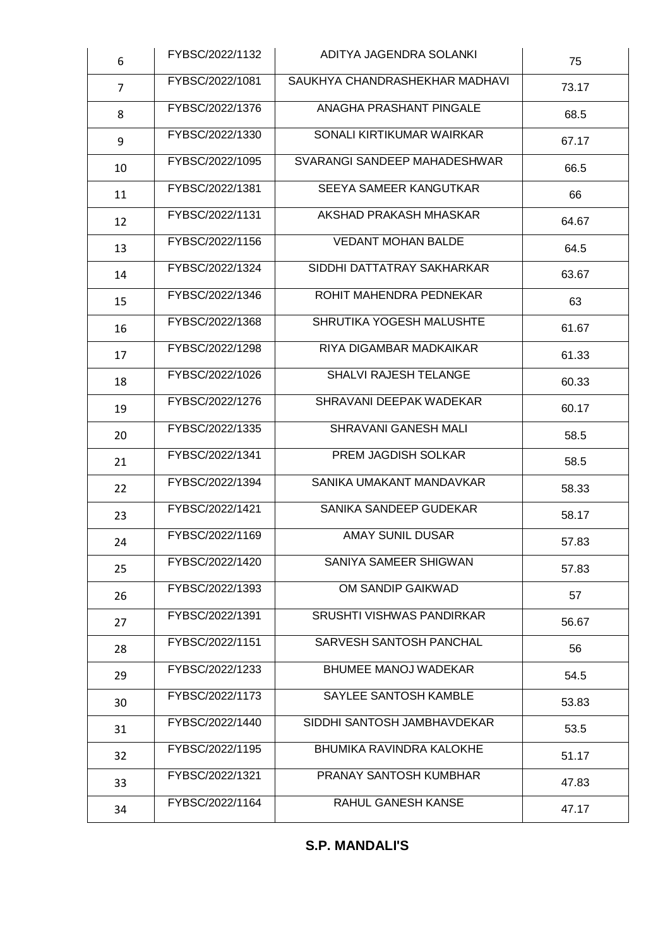| 6              | FYBSC/2022/1132 | ADITYA JAGENDRA SOLANKI        | 75    |
|----------------|-----------------|--------------------------------|-------|
| $\overline{7}$ | FYBSC/2022/1081 | SAUKHYA CHANDRASHEKHAR MADHAVI | 73.17 |
| 8              | FYBSC/2022/1376 | ANAGHA PRASHANT PINGALE        | 68.5  |
| 9              | FYBSC/2022/1330 | SONALI KIRTIKUMAR WAIRKAR      | 67.17 |
| 10             | FYBSC/2022/1095 | SVARANGI SANDEEP MAHADESHWAR   | 66.5  |
| 11             | FYBSC/2022/1381 | SEEYA SAMEER KANGUTKAR         | 66    |
| 12             | FYBSC/2022/1131 | AKSHAD PRAKASH MHASKAR         | 64.67 |
| 13             | FYBSC/2022/1156 | <b>VEDANT MOHAN BALDE</b>      | 64.5  |
| 14             | FYBSC/2022/1324 | SIDDHI DATTATRAY SAKHARKAR     | 63.67 |
| 15             | FYBSC/2022/1346 | ROHIT MAHENDRA PEDNEKAR        | 63    |
| 16             | FYBSC/2022/1368 | SHRUTIKA YOGESH MALUSHTE       | 61.67 |
| 17             | FYBSC/2022/1298 | RIYA DIGAMBAR MADKAIKAR        | 61.33 |
| 18             | FYBSC/2022/1026 | SHALVI RAJESH TELANGE          | 60.33 |
| 19             | FYBSC/2022/1276 | SHRAVANI DEEPAK WADEKAR        | 60.17 |
| 20             | FYBSC/2022/1335 | SHRAVANI GANESH MALI           | 58.5  |
| 21             | FYBSC/2022/1341 | PREM JAGDISH SOLKAR            | 58.5  |
| 22             | FYBSC/2022/1394 | SANIKA UMAKANT MANDAVKAR       | 58.33 |
| 23             | FYBSC/2022/1421 | SANIKA SANDEEP GUDEKAR         | 58.17 |
| 24             | FYBSC/2022/1169 | <b>AMAY SUNIL DUSAR</b>        | 57.83 |
| 25             | FYBSC/2022/1420 | SANIYA SAMEER SHIGWAN          | 57.83 |
| 26             | FYBSC/2022/1393 | OM SANDIP GAIKWAD              | 57    |
| 27             | FYBSC/2022/1391 | SRUSHTI VISHWAS PANDIRKAR      | 56.67 |
| 28             | FYBSC/2022/1151 | SARVESH SANTOSH PANCHAL        | 56    |
| 29             | FYBSC/2022/1233 | <b>BHUMEE MANOJ WADEKAR</b>    | 54.5  |
| 30             | FYBSC/2022/1173 | SAYLEE SANTOSH KAMBLE          | 53.83 |
| 31             | FYBSC/2022/1440 | SIDDHI SANTOSH JAMBHAVDEKAR    | 53.5  |
| 32             | FYBSC/2022/1195 | BHUMIKA RAVINDRA KALOKHE       | 51.17 |
| 33             | FYBSC/2022/1321 | PRANAY SANTOSH KUMBHAR         | 47.83 |
| 34             | FYBSC/2022/1164 | RAHUL GANESH KANSE             | 47.17 |

## **S.P. MANDALI'S**